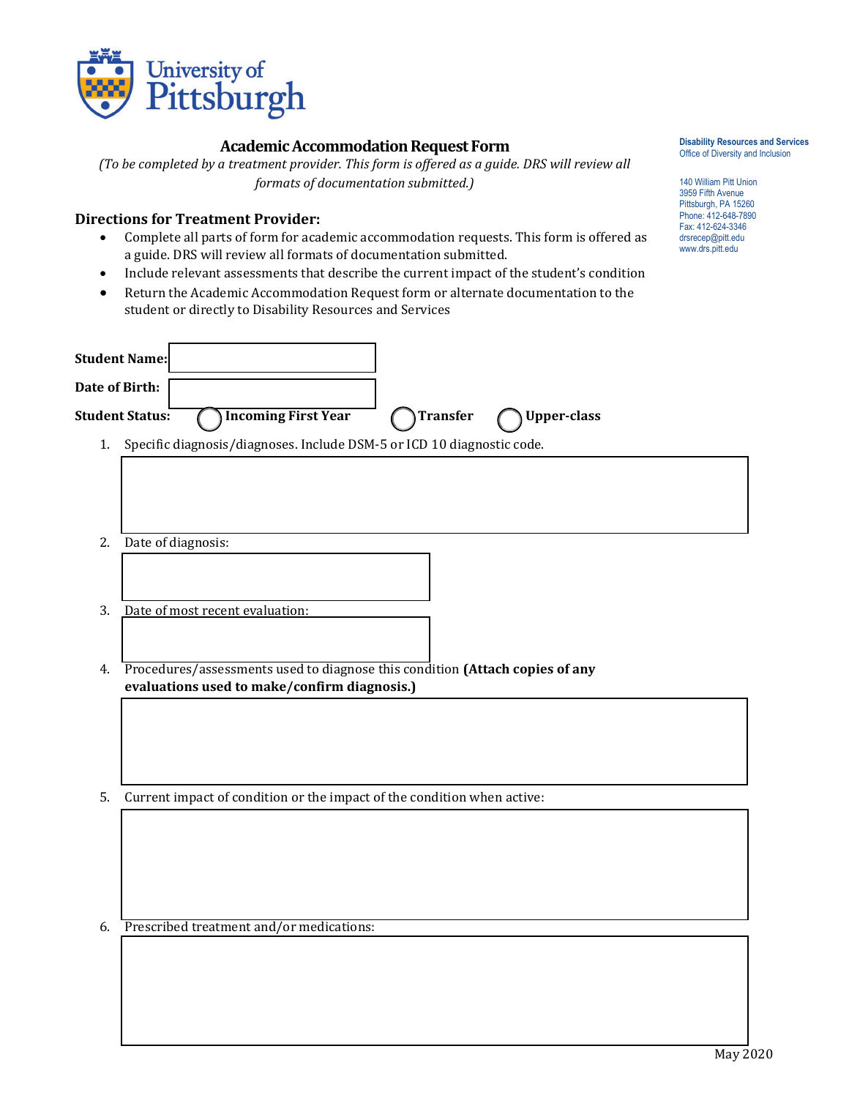

## **Academic Accommodation Request Form**

*(To be completed by a treatment provider. This form is offered as a guide. DRS will review all formats of documentation submitted.)*

## **Directions for Treatment Provider:**

- Complete all parts of form for academic accommodation requests. This form is offered as a guide. DRS will review all formats of documentation submitted.
- Include relevant assessments that describe the current impact of the student's condition
- Return the Academic Accommodation Request form or alternate documentation to the student or directly to Disability Resources and Services

|                | <b>Student Name:</b>                                                            |
|----------------|---------------------------------------------------------------------------------|
| Date of Birth: |                                                                                 |
|                | <b>Incoming First Year</b><br>Student Status:<br>Transfer<br><b>Upper-class</b> |
| 1.             | Specific diagnosis/diagnoses. Include DSM-5 or ICD 10 diagnostic code.          |
|                |                                                                                 |
| 2.             | Date of diagnosis:                                                              |
|                |                                                                                 |
| 3.             | Date of most recent evaluation:                                                 |
|                |                                                                                 |
| 4.             | Procedures/assessments used to diagnose this condition (Attach copies of any    |
|                | evaluations used to make/confirm diagnosis.)                                    |
|                |                                                                                 |
|                |                                                                                 |
|                |                                                                                 |
| 5.             | Current impact of condition or the impact of the condition when active:         |
|                |                                                                                 |
|                |                                                                                 |
|                |                                                                                 |
| 6.             | Prescribed treatment and/or medications:                                        |
|                |                                                                                 |
|                |                                                                                 |
|                |                                                                                 |
|                |                                                                                 |

**Disability Resources and Services** Office of Diversity and Inclusion

140 William Pitt Union 3959 Fifth Avenue Pittsburgh, PA 15260 Phone: 412-648-7890 Fax: 412-624-3346 drsrecep@pitt.edu www.drs.pitt.edu